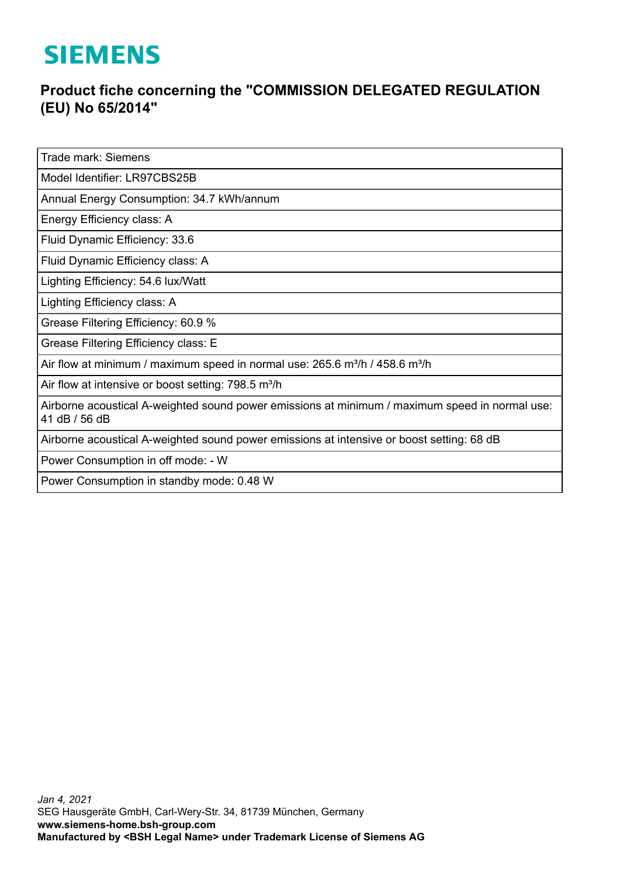## **SIEMENS**

## **Product fiche concerning the "COMMISSION DELEGATED REGULATION (EU) No 65/2014"**

Trade mark: Siemens

Model Identifier: LR97CBS25B

Annual Energy Consumption: 34.7 kWh/annum

Energy Efficiency class: A

Fluid Dynamic Efficiency: 33.6

Fluid Dynamic Efficiency class: A

Lighting Efficiency: 54.6 lux/Watt

Lighting Efficiency class: A

Grease Filtering Efficiency: 60.9 %

Grease Filtering Efficiency class: E

Air flow at minimum / maximum speed in normal use:  $265.6$  m<sup>3</sup>/h / 458.6 m<sup>3</sup>/h

Air flow at intensive or boost setting: 798.5 m<sup>3</sup>/h

Airborne acoustical A-weighted sound power emissions at minimum / maximum speed in normal use: 41 dB / 56 dB

Airborne acoustical A-weighted sound power emissions at intensive or boost setting: 68 dB

Power Consumption in off mode: - W

Power Consumption in standby mode: 0.48 W